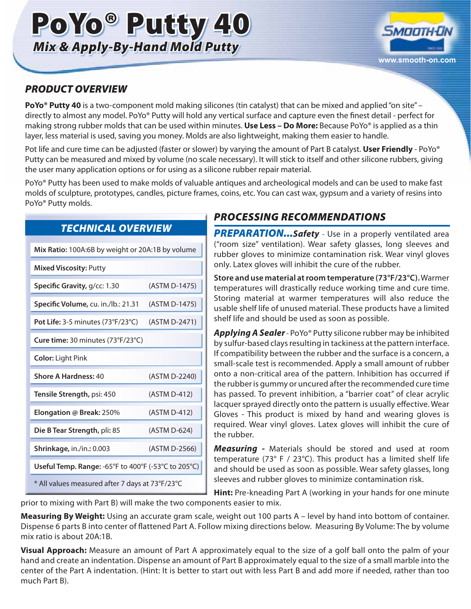# PoYo® Putty 40 *Mix & Apply-By-Hand Mold Putty*



#### *PRODUCT OVERVIEW*

**PoYo® Putty 40** is a two-component mold making silicones (tin catalyst) that can be mixed and applied "on site" – directly to almost any model. PoYo® Putty will hold any vertical surface and capture even the finest detail - perfect for making strong rubber molds that can be used within minutes. **Use Less – Do More:** Because PoYo® is applied as a thin layer, less material is used, saving you money. Molds are also lightweight, making them easier to handle.

Pot life and cure time can be adjusted (faster or slower) by varying the amount of Part B catalyst. **User Friendly** - PoYo® Putty can be measured and mixed by volume (no scale necessary). It will stick to itself and other silicone rubbers, giving the user many application options or for using as a silicone rubber repair material.

PoYo® Putty has been used to make molds of valuable antiques and archeological models and can be used to make fast molds of sculpture, prototypes, candles, picture frames, coins, etc. You can cast wax, gypsum and a variety of resins into PoYo® Putty molds.

| Mix Ratio: 100A:6B by weight or 20A:1B by volume      |               |
|-------------------------------------------------------|---------------|
| <b>Mixed Viscosity: Putty</b>                         |               |
| Specific Gravity, g/cc: 1.30                          | (ASTM D-1475) |
| Specific Volume, cu. in./lb.: 21.31                   | (ASTM D-1475) |
| Pot Life: $3-5$ minutes ( $73^{\circ}F/23^{\circ}C$ ) | (ASTM D-2471) |
| Cure time: 30 minutes $(73°F/23°C)$                   |               |
| <b>Color: Light Pink</b>                              |               |
| Shore A Hardness: 40                                  | (ASTM D-2240) |
| Tensile Strength, psi: 450                            | (ASTM D-412)  |
| Elongation @ Break: 250%                              | (ASTM D-412)  |
| Die B Tear Strength, pli: 85                          | (ASTM D-624)  |
| Shrinkage, in./in.: 0.003                             | (ASTM D-2566) |
| Useful Temp. Range: -65°F to 400°F (-53°C to 205°C)   |               |
| * All values measured after 7 days at 73°F/23°C       |               |

#### *TECHNICAL OVERVIEW*

#### *PROCESSING RECOMMENDATIONS*

**PREPARATION...Safety** - Use in a properly ventilated area ("room size" ventilation). Wear safety glasses, long sleeves and rubber gloves to minimize contamination risk. Wear vinyl gloves only. Latex gloves will inhibit the cure of the rubber.

**Store and use material at room temperature (73°F/23°C).** Warmer temperatures will drastically reduce working time and cure time. Storing material at warmer temperatures will also reduce the usable shelf life of unused material. These products have a limited shelf life and should be used as soon as possible.

*Applying A Sealer* - PoYo® Putty silicone rubber may be inhibited by sulfur-based clays resulting in tackiness at the pattern interface. If compatibility between the rubber and the surface is a concern, a small-scale test is recommended. Apply a small amount of rubber onto a non-critical area of the pattern. Inhibition has occurred if the rubber is gummy or uncured after the recommended cure time has passed. To prevent inhibition, a "barrier coat" of clear acrylic lacquer sprayed directly onto the pattern is usually effective. Wear Gloves - This product is mixed by hand and wearing gloves is required. Wear vinyl gloves. Latex gloves will inhibit the cure of the rubber.

*Measuring -* Materials should be stored and used at room temperature (73° F / 23°C). This product has a limited shelf life and should be used as soon as possible. Wear safety glasses, long sleeves and rubber gloves to minimize contamination risk.

**Hint:** Pre-kneading Part A (working in your hands for one minute prior to mixing with Part B) will make the two components easier to mix.

**Measuring By Weight:** Using an accurate gram scale, weight out 100 parts A – level by hand into bottom of container. Dispense 6 parts B into center of flattened Part A. Follow mixing directions below. Measuring By Volume: The by volume mix ratio is about 20A:1B.

**Visual Approach:** Measure an amount of Part A approximately equal to the size of a golf ball onto the palm of your hand and create an indentation. Dispense an amount of Part B approximately equal to the size of a small marble into the center of the Part A indentation. (Hint: It is better to start out with less Part B and add more if needed, rather than too much Part B).